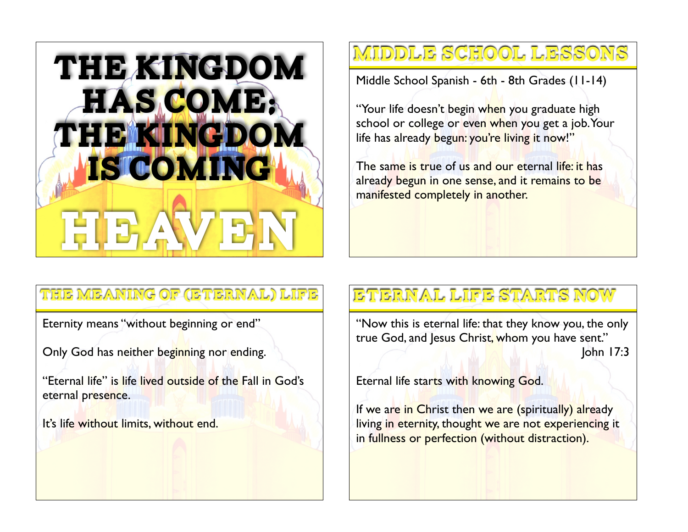

#### Middle School Lessons

Middle School Spanish - 6th - 8th Grades (11-14)

"Your life doesn't begin when you graduate high school or college or even when you get a job. Your life has already begun: you're living it now!"

The same is true of us and our eternal life: it has already begun in one sense, and it remains to be manifested completely in another.

#### The Meaning of (Eternal) Life

Eternity means "without beginning or end"

Only God has neither beginning nor ending.

"Eternal life" is life lived outside of the Fall in God's eternal presence.

It's life without limits, without end.

#### Eternal Life Starts Now

"Now this is eternal life: that they know you, the only true God, and Jesus Christ, whom you have sent." John 17:3

Eternal life starts with knowing God.

If we are in Christ then we are (spiritually) already living in eternity, thought we are not experiencing it in fullness or perfection (without distraction).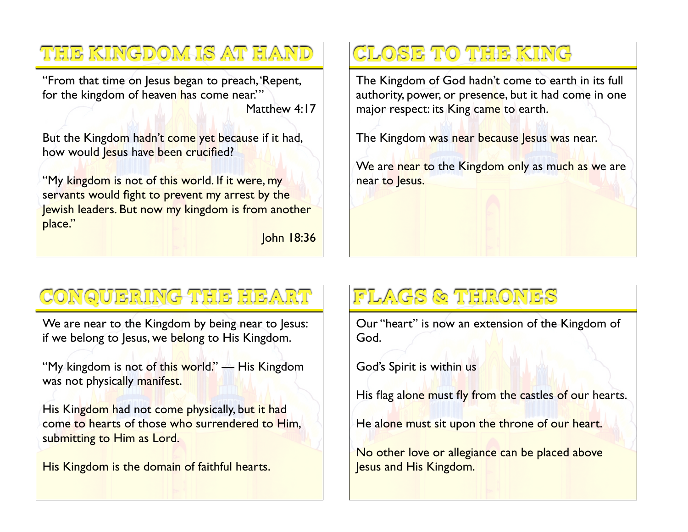"From that time on Jesus began to preach, 'Repent, for the kingdom of heaven has come near." Matthew 4:17

The Kingdom is At Hand

But the Kingdom hadn't come yet because if it had, how would Jesus have been crucified?

"My kingdom is not of this world. If it were, my servants would fight to prevent my arrest by the Jewish leaders. But now my kingdom is from another place."

John 18:36

# Close to the King

The Kingdom of God hadn't come to earth in its full authority, power, or presence, but it had come in one major respect: its King came to earth.

The Kingdom was near because Jesus was near.

We are near to the Kingdom only as much as we are near to Jesus.

### Conquering the Heart

We are near to the Kingdom by being near to Jesus: if we belong to Jesus, we belong to His Kingdom.

"My kingdom is not of this world." — His Kingdom was not physically manifest.

His Kingdom had not come physically, but it had come to hearts of those who surrendered to Him, submitting to Him as Lord.

His Kingdom is the domain of faithful hearts.

# Flags & Thrones

Our "heart" is now an extension of the Kingdom of God.

God's Spirit is within us

His flag alone must fly from the castles of our hearts.

He alone must sit upon the throne of our heart.

No other love or allegiance can be placed above Jesus and His Kingdom.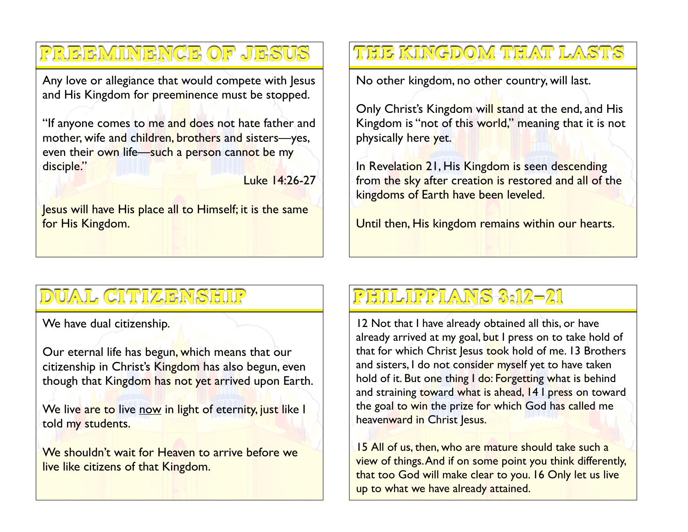Preeminence of Jesus

Any love or allegiance that would compete with Jesus and His Kingdom for preeminence must be stopped.

"If anyone comes to me and does not hate father and mother, wife and children, brothers and sisters—yes, even their own life—such a person cannot be my disciple."

Luke 14:26-27

Jesus will have His place all to Himself; it is the same for His Kingdom.

#### The Kingdom That Lasts

No other kingdom, no other country, will last.

Only Christ's Kingdom will stand at the end, and His Kingdom is "not of this world," meaning that it is not physically here yet.

In Revelation 21, His Kingdom is seen descending from the sky after creation is restored and all of the kingdoms of Earth have been leveled.

Until then, His kingdom remains within our hearts.

## Dual Citizenship

We have dual citizenship.

Our eternal life has begun, which means that our citizenship in Christ's Kingdom has also begun, even though that Kingdom has not yet arrived upon Earth.

We live are to live now in light of eternity, just like I told my students.

We shouldn't wait for Heaven to arrive before we live like citizens of that Kingdom.

## Philippians 3:12-21

12 Not that I have already obtained all this, or have already arrived at my goal, but I press on to take hold of that for which Christ Jesus took hold of me. 13 Brothers and sisters, I do not consider myself yet to have taken hold of it. But one thing I do: Forgetting what is behind and straining toward what is ahead, 14 I press on toward the goal to win the prize for which God has called me heavenward in Christ Jesus.

15 All of us, then, who are mature should take such a view of things. And if on some point you think differently, that too God will make clear to you. 16 Only let us live up to what we have already attained.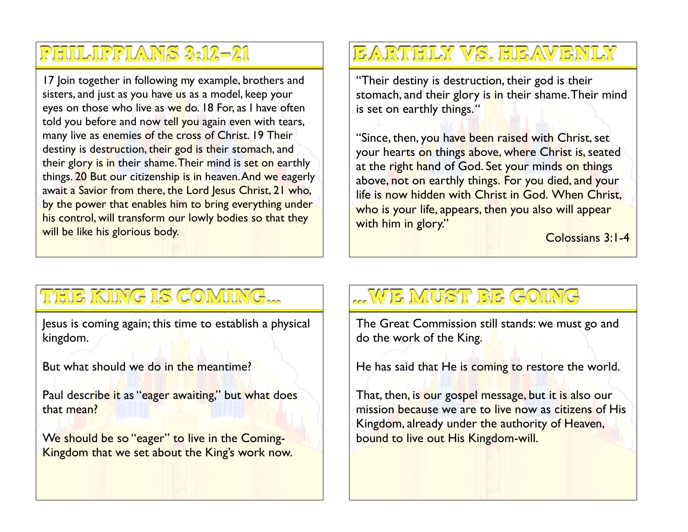#### Philippians 3:12-21

17 Join together in following my example, brothers and sisters, and just as you have us as a model, keep your eyes on those who live as we do. 18 For, as I have often told you before and now tell you again even with tears, many live as enemies of the cross of Christ. 19 Their destiny is destruction, their god is their stomach, and their glory is in their shame. Their mind is set on earthly things. 20 But our citizenship is in heaven. And we eagerly await a Savior from there, the Lord Jesus Christ, 21 who, by the power that enables him to bring everything under his control, will transform our lowly bodies so that they will be like his glorious body.

# Earthly Vs. Heavenly

"Their destiny is destruction, their god is their stomach, and their glory is in their shame. Their mind is set on earthly things."

"Since, then, you have been raised with Christ, set your hearts on things above, where Christ is, seated at the right hand of God. Set your minds on things above, not on earthly things. For you died, and your life is now hidden with Christ in God. When Christ, who is your life, appears, then you also will appear with him in glory."

Colossians 3:1-4

### The King is Coming...

Jesus is coming again; this time to establish a physical kingdom.

But what should we do in the meantime?

Paul describe it as "eager awaiting," but what does that mean?

We should be so "eager" to live in the Coming-Kingdom that we set about the King's work now.

### ...We Must Be Going

The Great Commission still stands: we must go and do the work of the King.

He has said that He is coming to restore the world.

That, then, is our gospel message, but it is also our mission because we are to live now as citizens of His Kingdom, already under the authority of Heaven, bound to live out His Kingdom-will.